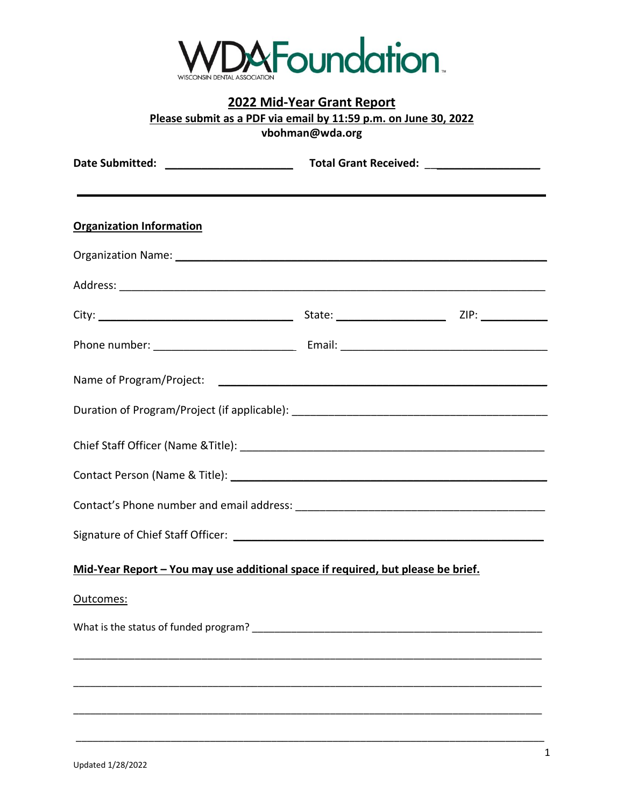

## **2022 Mid-Year Grant Report Please submit as a PDF via email by 11:59 p.m. on June 30, 2022 vbohman@wda.org**

| the contract of the contract of the contract of the contract of the contract of the contract of the contract of<br><b>Organization Information</b> |  |
|----------------------------------------------------------------------------------------------------------------------------------------------------|--|
|                                                                                                                                                    |  |
|                                                                                                                                                    |  |
|                                                                                                                                                    |  |
|                                                                                                                                                    |  |
|                                                                                                                                                    |  |
|                                                                                                                                                    |  |
| Chief Staff Officer (Name & Title): entertainment of the state of the staff officer (Name & Title):                                                |  |
|                                                                                                                                                    |  |
|                                                                                                                                                    |  |
|                                                                                                                                                    |  |
| Mid-Year Report - You may use additional space if required, but please be brief.                                                                   |  |
| Outcomes:                                                                                                                                          |  |
|                                                                                                                                                    |  |
|                                                                                                                                                    |  |
|                                                                                                                                                    |  |
|                                                                                                                                                    |  |

\_\_\_\_\_\_\_\_\_\_\_\_\_\_\_\_\_\_\_\_\_\_\_\_\_\_\_\_\_\_\_\_\_\_\_\_\_\_\_\_\_\_\_\_\_\_\_\_\_\_\_\_\_\_\_\_\_\_\_\_\_\_\_\_\_\_\_\_\_\_\_\_\_\_\_\_\_\_\_\_\_\_\_\_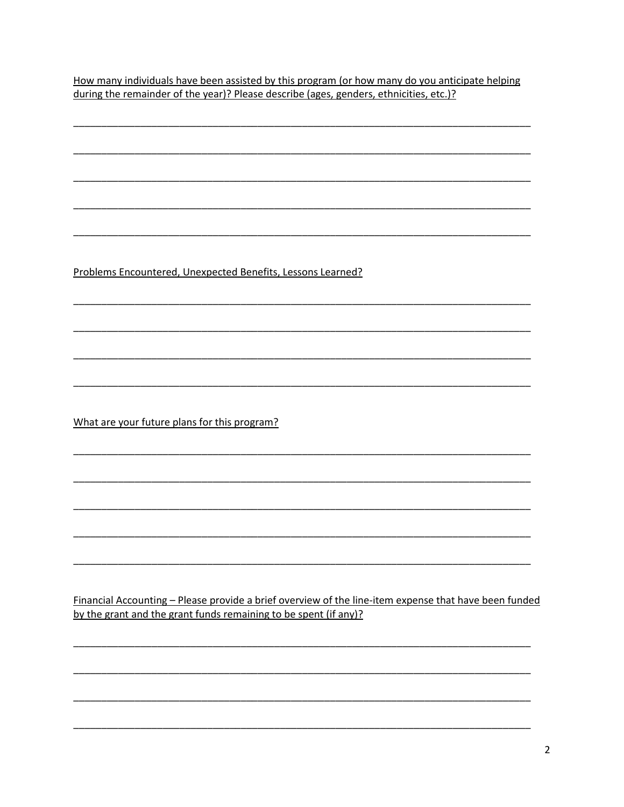How many individuals have been assisted by this program (or how many do you anticipate helping during the remainder of the year)? Please describe (ages, genders, ethnicities, etc.)?

Problems Encountered, Unexpected Benefits, Lessons Learned?

What are your future plans for this program?

Financial Accounting - Please provide a brief overview of the line-item expense that have been funded by the grant and the grant funds remaining to be spent (if any)?